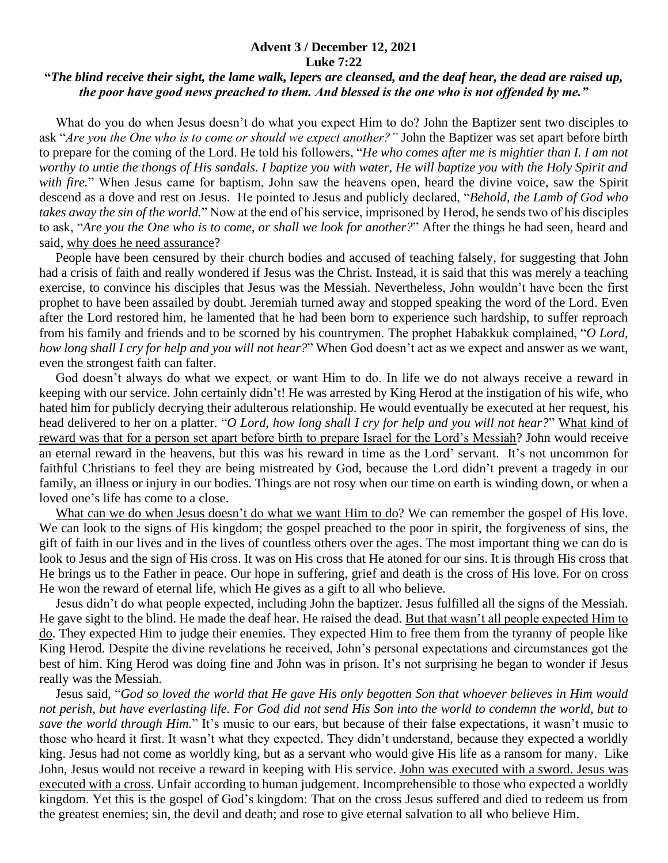## **Advent 3 / December 12, 2021 Luke 7:22**

## **"***The blind receive their sight, the lame walk, lepers are cleansed, and the deaf hear, the dead are raised up, the poor have good news preached to them. And blessed is the one who is not offended by me."*

 What do you do when Jesus doesn't do what you expect Him to do? John the Baptizer sent two disciples to ask "*Are you the One who is to come or should we expect another?"* John the Baptizer was set apart before birth to prepare for the coming of the Lord. He told his followers, "*He who comes after me is mightier than I. I am not worthy to untie the thongs of His sandals. I baptize you with water, He will baptize you with the Holy Spirit and with fire.*" When Jesus came for baptism, John saw the heavens open, heard the divine voice, saw the Spirit descend as a dove and rest on Jesus. He pointed to Jesus and publicly declared, "*Behold, the Lamb of God who takes away the sin of the world.*" Now at the end of his service, imprisoned by Herod, he sends two of his disciples to ask, "*Are you the One who is to come, or shall we look for another?*" After the things he had seen, heard and said, why does he need assurance?

 People have been censured by their church bodies and accused of teaching falsely, for suggesting that John had a crisis of faith and really wondered if Jesus was the Christ. Instead, it is said that this was merely a teaching exercise, to convince his disciples that Jesus was the Messiah. Nevertheless, John wouldn't have been the first prophet to have been assailed by doubt. Jeremiah turned away and stopped speaking the word of the Lord. Even after the Lord restored him, he lamented that he had been born to experience such hardship, to suffer reproach from his family and friends and to be scorned by his countrymen. The prophet Habakkuk complained, "*O Lord, how long shall I cry for help and you will not hear?*" When God doesn't act as we expect and answer as we want, even the strongest faith can falter.

 God doesn't always do what we expect, or want Him to do. In life we do not always receive a reward in keeping with our service. John certainly didn't! He was arrested by King Herod at the instigation of his wife, who hated him for publicly decrying their adulterous relationship. He would eventually be executed at her request, his head delivered to her on a platter. "*O Lord, how long shall I cry for help and you will not hear?*" What kind of reward was that for a person set apart before birth to prepare Israel for the Lord's Messiah? John would receive an eternal reward in the heavens, but this was his reward in time as the Lord' servant. It's not uncommon for faithful Christians to feel they are being mistreated by God, because the Lord didn't prevent a tragedy in our family, an illness or injury in our bodies. Things are not rosy when our time on earth is winding down, or when a loved one's life has come to a close.

What can we do when Jesus doesn't do what we want Him to do? We can remember the gospel of His love. We can look to the signs of His kingdom; the gospel preached to the poor in spirit, the forgiveness of sins, the gift of faith in our lives and in the lives of countless others over the ages. The most important thing we can do is look to Jesus and the sign of His cross. It was on His cross that He atoned for our sins. It is through His cross that He brings us to the Father in peace. Our hope in suffering, grief and death is the cross of His love. For on cross He won the reward of eternal life, which He gives as a gift to all who believe.

 Jesus didn't do what people expected, including John the baptizer. Jesus fulfilled all the signs of the Messiah. He gave sight to the blind. He made the deaf hear. He raised the dead. But that wasn't all people expected Him to do. They expected Him to judge their enemies. They expected Him to free them from the tyranny of people like King Herod. Despite the divine revelations he received, John's personal expectations and circumstances got the best of him. King Herod was doing fine and John was in prison. It's not surprising he began to wonder if Jesus really was the Messiah.

 Jesus said, "*God so loved the world that He gave His only begotten Son that whoever believes in Him would not perish, but have everlasting life. For God did not send His Son into the world to condemn the world, but to save the world through Him.*" It's music to our ears, but because of their false expectations, it wasn't music to those who heard it first. It wasn't what they expected. They didn't understand, because they expected a worldly king. Jesus had not come as worldly king, but as a servant who would give His life as a ransom for many. Like John, Jesus would not receive a reward in keeping with His service. John was executed with a sword. Jesus was executed with a cross. Unfair according to human judgement. Incomprehensible to those who expected a worldly kingdom. Yet this is the gospel of God's kingdom: That on the cross Jesus suffered and died to redeem us from the greatest enemies; sin, the devil and death; and rose to give eternal salvation to all who believe Him.